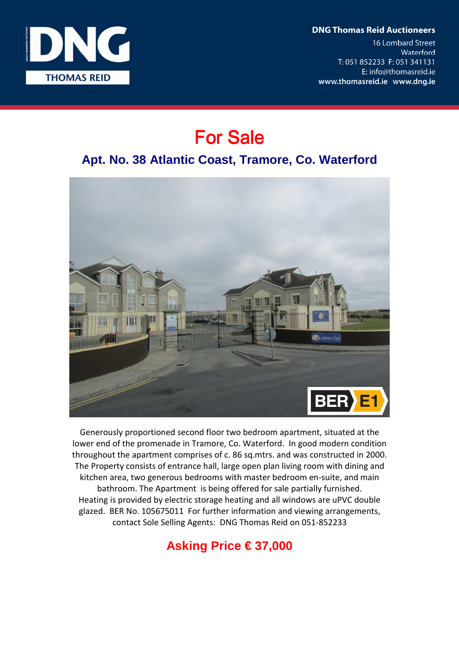**DNG Thomas Reid Auctioneers** 

**16 Lombard Street** Waterford T: 051 852233 F: 051 341131 E: info@thomasreid.ie www.thomasreid.ie www.dng.ie



# For Sale

### **Apt. No. 38 Atlantic Coast, Tramore, Co. Waterford**



Generously proportioned second floor two bedroom apartment, situated at the lower end of the promenade in Tramore, Co. Waterford. In good modern condition throughout the apartment comprises of c. 86 sq.mtrs. and was constructed in 2000. The Property consists of entrance hall, large open plan living room with dining and kitchen area, two generous bedrooms with master bedroom en-suite, and main bathroom. The Apartment is being offered for sale partially furnished. Heating is provided by electric storage heating and all windows are uPVC double glazed. BER No. 105675011 For further information and viewing arrangements, contact Sole Selling Agents: DNG Thomas Reid on 051-852233

## **Asking Price € 37,000**